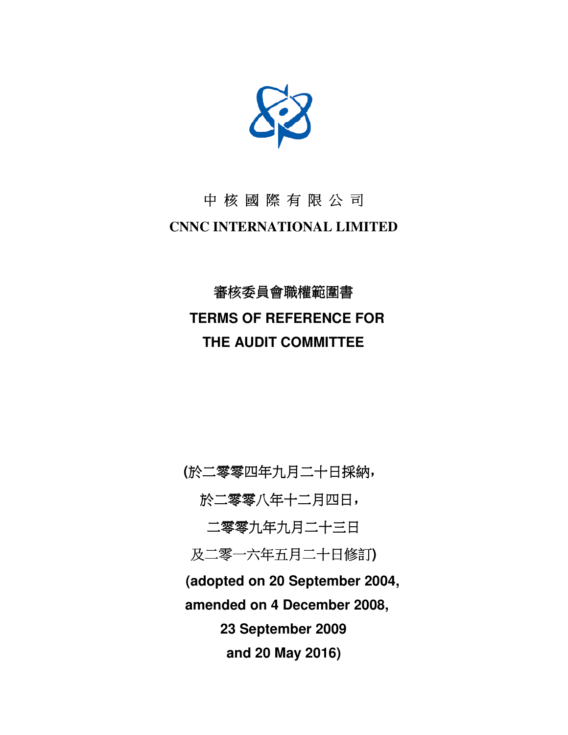

### 中 核 國 際 有 限 公 司 **CNNC INTERNATIONAL LIMITED**

## 審核委員會職權範圍書  **TERMS OF REFERENCE FOR THE AUDIT COMMITTEE**

**(**於二零零四年九月二十日採納,

於二零零八年十二月四日,

二零零九年九月二十三日

及二零一六年五月二十日修訂**)** 

**(adopted on 20 September 2004,** 

 **amended on 4 December 2008,** 

**23 September 2009** 

**and 20 May 2016)**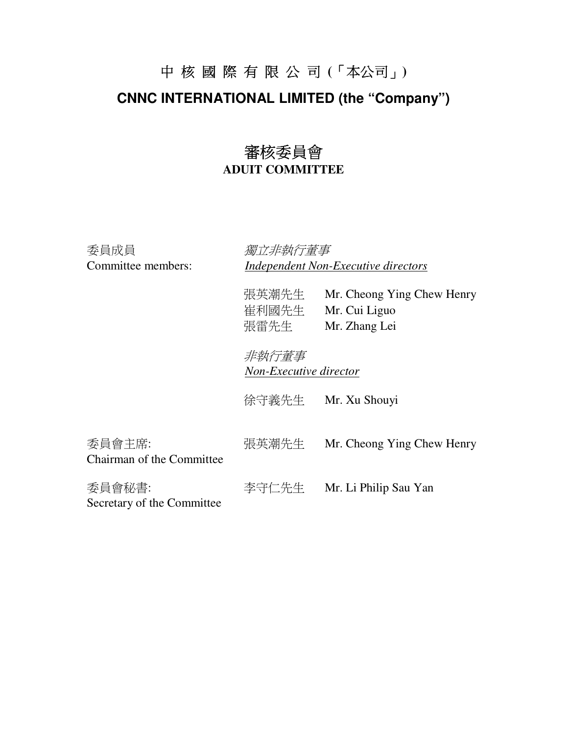# 中 核 國 際 有 限 公 司 **(**「本公司」**) CNNC INTERNATIONAL LIMITED (the "Company")**

### 審核委員會 **ADUIT COMMITTEE**

| 委員成員<br>Committee members:           | 獨立非執行董事                         | <b>Independent Non-Executive directors</b>                   |  |
|--------------------------------------|---------------------------------|--------------------------------------------------------------|--|
|                                      | 張英潮先生<br>崔利國先生<br>張雷先生          | Mr. Cheong Ying Chew Henry<br>Mr. Cui Liguo<br>Mr. Zhang Lei |  |
|                                      | 非執行董事<br>Non-Executive director |                                                              |  |
|                                      | 徐守義先生                           | Mr. Xu Shouyi                                                |  |
| 委員會主席:<br>Chairman of the Committee  | 張英潮先生                           | Mr. Cheong Ying Chew Henry                                   |  |
| 委員會秘書:<br>Secretary of the Committee | 李守仁先生                           | Mr. Li Philip Sau Yan                                        |  |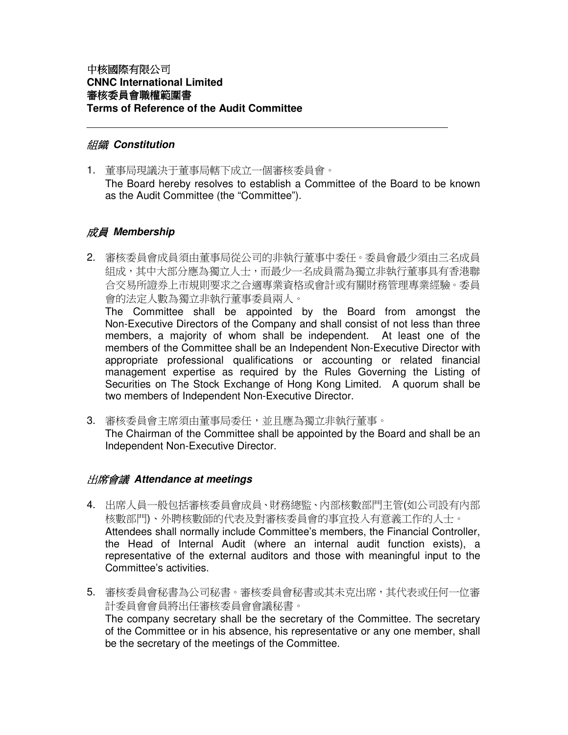#### 組織 **Constitution**

1. 董事局現議決于董事局轄下成立一個審核委員會。 The Board hereby resolves to establish a Committee of the Board to be known as the Audit Committee (the "Committee").

#### 成員 **Membership**

2. 審核委員會成員須由董事局從公司的非執行董事中委任。委員會最少須由三名成員 組成,其中大部分應為獨立人士,而最少一名成員需為獨立非執行董事具有香港聯 合交易所證券上市規則要求之合適專業資格或會計或有關財務管理專業經驗。委員 會的法定人數為獨立非執行董事委員兩人。

The Committee shall be appointed by the Board from amongst the Non-Executive Directors of the Company and shall consist of not less than three members, a majority of whom shall be independent. At least one of the members of the Committee shall be an Independent Non-Executive Director with appropriate professional qualifications or accounting or related financial management expertise as required by the Rules Governing the Listing of Securities on The Stock Exchange of Hong Kong Limited. A quorum shall be two members of Independent Non-Executive Director.

3. 審核委員會主席須由董事局委任,並且應為獨立非執行董事。 The Chairman of the Committee shall be appointed by the Board and shall be an Independent Non-Executive Director.

#### 出席會議 **Attendance at meetings**

- 4. 出席人員一般包括審核委員會成員、財務總監、內部核數部門主管(如公司設有內部 核數部門)、外聘核數師的代表及對審核委員會的事宜投入有意義工作的人士。 Attendees shall normally include Committee's members, the Financial Controller, the Head of Internal Audit (where an internal audit function exists), a representative of the external auditors and those with meaningful input to the Committee's activities.
- 5. 審核委員會秘書為公司秘書。審核委員會秘書或其未克出席,其代表或任何一位審 計委員會會員將出任審核委員會會議秘書。 The company secretary shall be the secretary of the Committee. The secretary of the Committee or in his absence, his representative or any one member, shall be the secretary of the meetings of the Committee.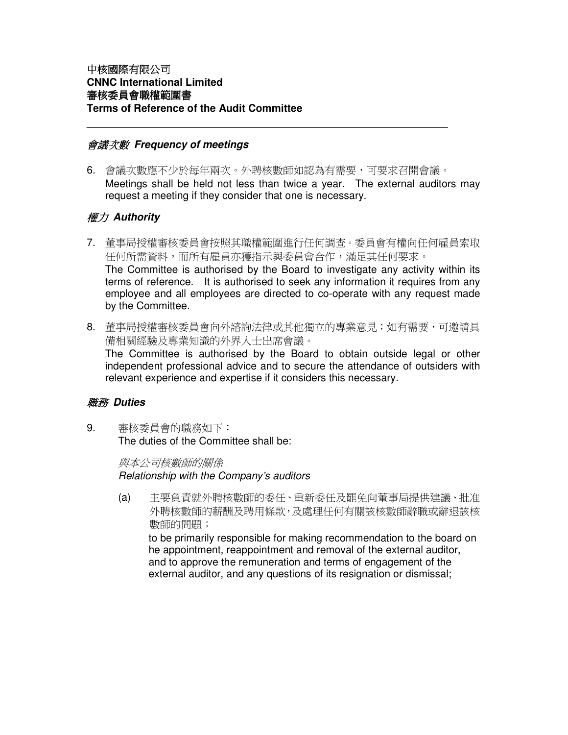#### 會議次數 **Frequency of meetings**

6. 會議次數應不少於每年兩次。外聘核數師如認為有需要,可要求召開會議。 Meetings shall be held not less than twice a year. The external auditors may request a meeting if they consider that one is necessary.

#### 權力 **Authority**

- 7. 董事局授權審核委員會按照其職權範圍進行任何調查。委員會有權向任何雇員索取 任何所需資料,而所有雇員亦獲指示與委員會合作,滿足其任何要求。 The Committee is authorised by the Board to investigate any activity within its terms of reference. It is authorised to seek any information it requires from any employee and all employees are directed to co-operate with any request made by the Committee.
- 8. 董事局授權審核委員會向外諮詢法律或其他獨立的專業意見;如有需要,可邀請具 備相關經驗及專業知識的外界人士出席會議。

The Committee is authorised by the Board to obtain outside legal or other independent professional advice and to secure the attendance of outsiders with relevant experience and expertise if it considers this necessary.

#### 職務 **Duties**

9. 審核委員會的職務如下: The duties of the Committee shall be:

> 與本公司核數師的關係 Relationship with the Company's auditors

(a) 主要負責就外聘核數師的委任、重新委任及罷免向董事局提供建議、批准 外聘核數師的薪酬及聘用條款,及處理任何有關該核數師辭職或辭退該核 數師的問題;

to be primarily responsible for making recommendation to the board on he appointment, reappointment and removal of the external auditor, and to approve the remuneration and terms of engagement of the external auditor, and any questions of its resignation or dismissal;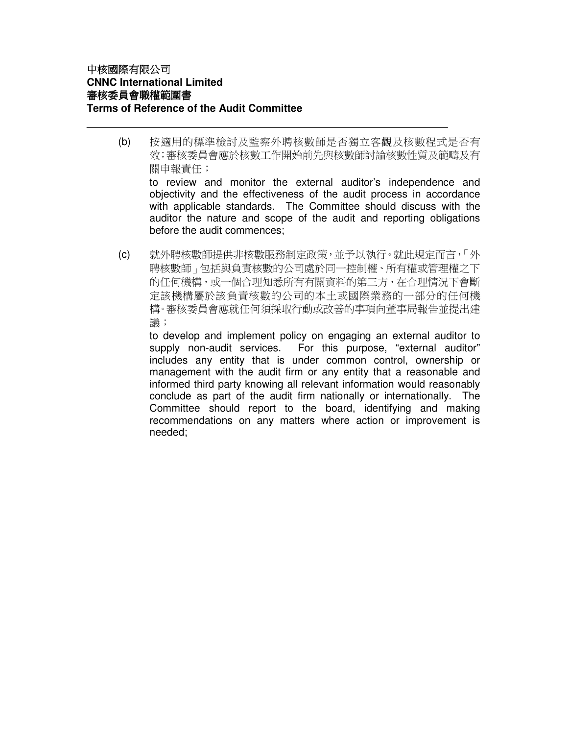(b) 按適用的標準檢討及監察外聘核數師是否獨立客觀及核數程式是否有 效;審核委員會應於核數工作開始前先與核數師討論核數性質及範疇及有 關申報責任; to review and monitor the external auditor's independence and objectivity and the effectiveness of the audit process in accordance

with applicable standards. The Committee should discuss with the auditor the nature and scope of the audit and reporting obligations before the audit commences;

(c) 就外聘核數師提供非核數服務制定政策,並予以執行。就此規定而言,「外 聘核數師」包括與負責核數的公司處於同一控制權、所有權或管理權之下 的任何機構,或一個合理知悉所有有關資料的第三方,在合理情況下會斷 定該機構屬於該負責核數的公司的本土或國際業務的一部分的任何機 構。審核委員會應就任何須採取行動或改善的事項向董事局報告並提出建 議;

 to develop and implement policy on engaging an external auditor to supply non-audit services. For this purpose, "external auditor" includes any entity that is under common control, ownership or management with the audit firm or any entity that a reasonable and informed third party knowing all relevant information would reasonably conclude as part of the audit firm nationally or internationally. The Committee should report to the board, identifying and making recommendations on any matters where action or improvement is needed;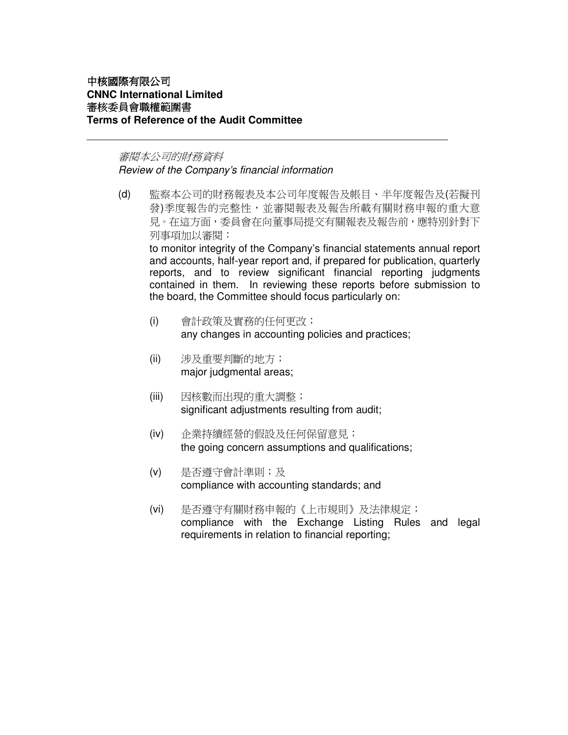#### 審閱本公司的財務資料 Review of the Company's financial information

(d) 監察本公司的財務報表及本公司年度報告及帳目、半年度報告及(若擬刊 發)季度報告的完整性,並審閱報表及報告所載有關財務申報的重大意 見。在這方面,委員會在向董事局提交有關報表及報告前,應特別針對下 列事項加以審閱:

to monitor integrity of the Company's financial statements annual report and accounts, half-year report and, if prepared for publication, quarterly reports, and to review significant financial reporting judgments contained in them. In reviewing these reports before submission to the board, the Committee should focus particularly on:

- (i) 會計政策及實務的任何更改; any changes in accounting policies and practices;
- (ii) 涉及重要判斷的地方; major judgmental areas;
- (iii) 因核數而出現的重大調整; significant adjustments resulting from audit;
- (iv) 企業持續經營的假設及任何保留意見; the going concern assumptions and qualifications;
- (v) 是否遵守會計準則;及 compliance with accounting standards; and
- (vi) 是否遵守有關財務申報的《上市規則》及法律規定; compliance with the Exchange Listing Rules and legal requirements in relation to financial reporting;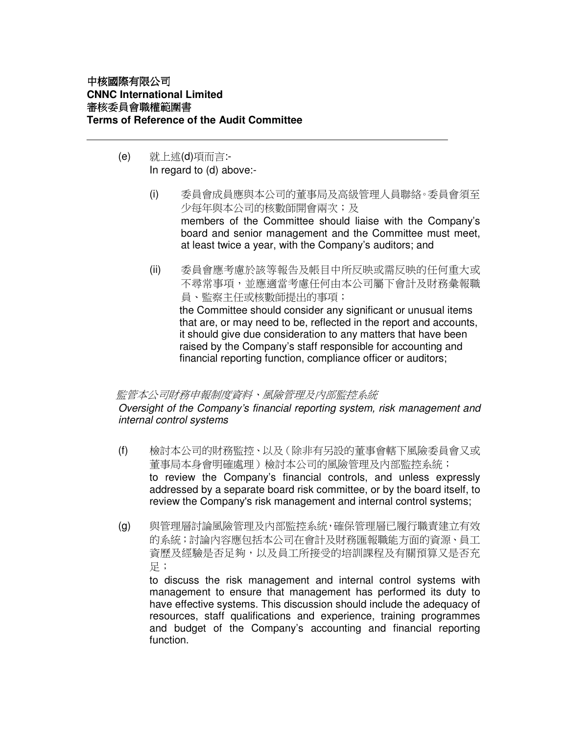- (e) 就上述(d)項而言:- In regard to (d) above:-
	- (i) 委員會成員應與本公司的董事局及高級管理人員聯絡。委員會須至 少每年與本公司的核數師開會兩次;及 members of the Committee should liaise with the Company's board and senior management and the Committee must meet, at least twice a year, with the Company's auditors; and
	- (ii) 委員會應考慮於該等報告及帳目中所反映或需反映的任何重大或 不尋常事項,並應適當考慮任何由本公司屬下會計及財務彙報職 員、監察主任或核數師提出的事項; the Committee should consider any significant or unusual items that are, or may need to be, reflected in the report and accounts, it should give due consideration to any matters that have been raised by the Company's staff responsible for accounting and financial reporting function, compliance officer or auditors;

#### 監管本公司財務申報制度資料、風險管理及內部監控系統

Oversight of the Company's financial reporting system, risk management and internal control systems

- (f) 檢討本公司的財務監控、以及(除非有另設的董事會轄下風險委員會又或 董事局本身會明確處理)檢討本公司的風險管理及內部監控系統; to review the Company's financial controls, and unless expressly addressed by a separate board risk committee, or by the board itself, to review the Company's risk management and internal control systems;
- (g) 與管理層討論風險管理及內部監控系統,確保管理層已履行職責建立有效 的系統;討論內容應包括本公司在會計及財務匯報職能方面的資源、員工 資歷及經驗是否足夠,以及員工所接受的培訓課程及有關預算又是否充 足;

to discuss the risk management and internal control systems with management to ensure that management has performed its duty to have effective systems. This discussion should include the adequacy of resources, staff qualifications and experience, training programmes and budget of the Company's accounting and financial reporting function.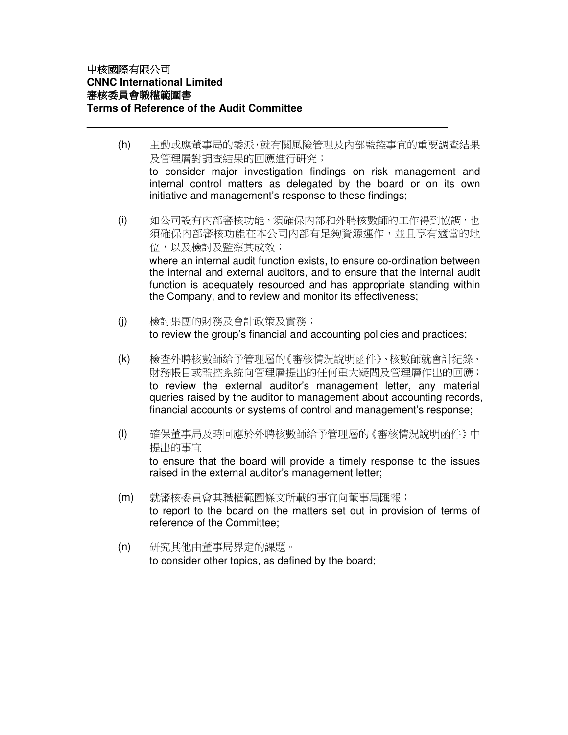(h) 主動或應董事局的委派,就有關風險管理及內部監控事宜的重要調查結果 及管理層對調查結果的回應進行研究;

to consider major investigation findings on risk management and internal control matters as delegated by the board or on its own initiative and management's response to these findings;

(i) 如公司設有內部審核功能,須確保內部和外聘核數師的工作得到協調,也 須確保內部審核功能在本公司內部有足夠資源運作,並且享有適當的地 位,以及檢討及監察其成效; where an internal audit function exists, to ensure co-ordination between

the internal and external auditors, and to ensure that the internal audit function is adequately resourced and has appropriate standing within the Company, and to review and monitor its effectiveness;

- (j) 檢討集團的財務及會計政策及實務; to review the group's financial and accounting policies and practices;
- (k) 檢查外聘核數師給予管理層的《審核情況說明函件》、核數師就會計紀錄、 財務帳目或監控系統向管理層提出的任何重大疑問及管理層作出的回應; to review the external auditor's management letter, any material queries raised by the auditor to management about accounting records, financial accounts or systems of control and management's response;
- (l) 確保董事局及時回應於外聘核數師給予管理層的《審核情況說明函件》中 提出的事宜 to ensure that the board will provide a timely response to the issues
- (m) 就審核委員會其職權範圍條文所載的事宜向董事局匯報; to report to the board on the matters set out in provision of terms of reference of the Committee;
- (n) 研究其他由董事局界定的課題。 to consider other topics, as defined by the board;

raised in the external auditor's management letter;